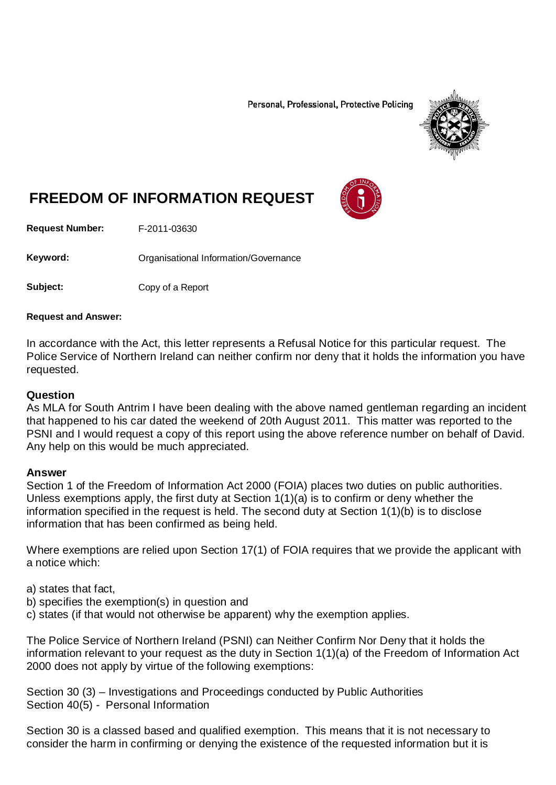Personal, Professional, Protective Policing



# **FREEDOM OF INFORMATION REQUEST**

**Request Number:** F-2011-03630

Keyword: **Communisty Communists** Organisational Information/Governance

**Subject:** Copy of a Report

#### **Request and Answer:**

In accordance with the Act, this letter represents a Refusal Notice for this particular request. The Police Service of Northern Ireland can neither confirm nor deny that it holds the information you have requested.

#### **Question**

As MLA for South Antrim I have been dealing with the above named gentleman regarding an incident that happened to his car dated the weekend of 20th August 2011. This matter was reported to the PSNI and I would request a copy of this report using the above reference number on behalf of David. Any help on this would be much appreciated.

#### **Answer**

Section 1 of the Freedom of Information Act 2000 (FOIA) places two duties on public authorities. Unless exemptions apply, the first duty at Section 1(1)(a) is to confirm or deny whether the information specified in the request is held. The second duty at Section 1(1)(b) is to disclose information that has been confirmed as being held.

Where exemptions are relied upon Section 17(1) of FOIA requires that we provide the applicant with a notice which:

a) states that fact,

- b) specifies the exemption(s) in question and
- c) states (if that would not otherwise be apparent) why the exemption applies.

The Police Service of Northern Ireland (PSNI) can Neither Confirm Nor Deny that it holds the information relevant to your request as the duty in Section 1(1)(a) of the Freedom of Information Act 2000 does not apply by virtue of the following exemptions:

Section 30 (3) – Investigations and Proceedings conducted by Public Authorities Section 40(5) - Personal Information

Section 30 is a classed based and qualified exemption. This means that it is not necessary to consider the harm in confirming or denying the existence of the requested information but it is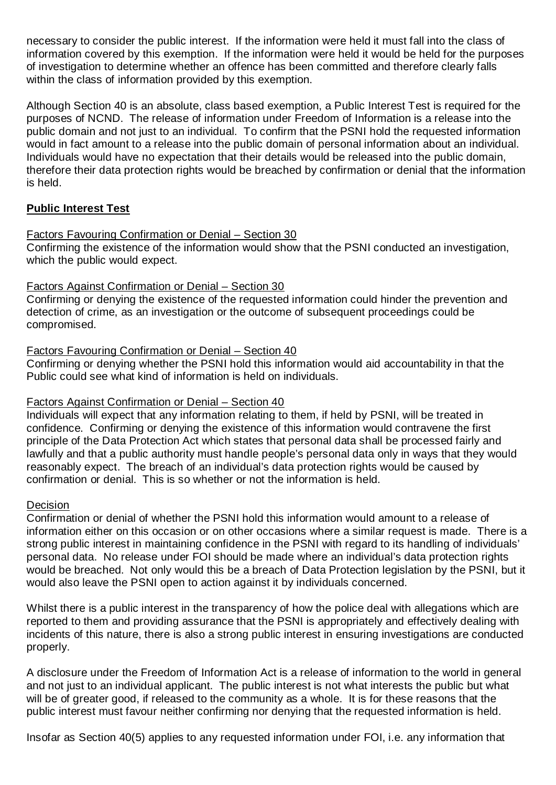necessary to consider the public interest. If the information were held it must fall into the class of information covered by this exemption. If the information were held it would be held for the purposes of investigation to determine whether an offence has been committed and therefore clearly falls within the class of information provided by this exemption.

Although Section 40 is an absolute, class based exemption, a Public Interest Test is required for the purposes of NCND. The release of information under Freedom of Information is a release into the public domain and not just to an individual. To confirm that the PSNI hold the requested information would in fact amount to a release into the public domain of personal information about an individual. Individuals would have no expectation that their details would be released into the public domain, therefore their data protection rights would be breached by confirmation or denial that the information is held.

## **Public Interest Test**

## Factors Favouring Confirmation or Denial – Section 30

Confirming the existence of the information would show that the PSNI conducted an investigation, which the public would expect.

## Factors Against Confirmation or Denial – Section 30

Confirming or denying the existence of the requested information could hinder the prevention and detection of crime, as an investigation or the outcome of subsequent proceedings could be compromised.

## Factors Favouring Confirmation or Denial – Section 40

Confirming or denying whether the PSNI hold this information would aid accountability in that the Public could see what kind of information is held on individuals.

#### Factors Against Confirmation or Denial – Section 40

Individuals will expect that any information relating to them, if held by PSNI, will be treated in confidence. Confirming or denying the existence of this information would contravene the first principle of the Data Protection Act which states that personal data shall be processed fairly and lawfully and that a public authority must handle people's personal data only in ways that they would reasonably expect. The breach of an individual's data protection rights would be caused by confirmation or denial. This is so whether or not the information is held.

#### Decision

Confirmation or denial of whether the PSNI hold this information would amount to a release of information either on this occasion or on other occasions where a similar request is made. There is a strong public interest in maintaining confidence in the PSNI with regard to its handling of individuals' personal data. No release under FOI should be made where an individual's data protection rights would be breached. Not only would this be a breach of Data Protection legislation by the PSNI, but it would also leave the PSNI open to action against it by individuals concerned.

Whilst there is a public interest in the transparency of how the police deal with allegations which are reported to them and providing assurance that the PSNI is appropriately and effectively dealing with incidents of this nature, there is also a strong public interest in ensuring investigations are conducted properly.

A disclosure under the Freedom of Information Act is a release of information to the world in general and not just to an individual applicant. The public interest is not what interests the public but what will be of greater good, if released to the community as a whole. It is for these reasons that the public interest must favour neither confirming nor denying that the requested information is held.

Insofar as Section 40(5) applies to any requested information under FOI, i.e. any information that